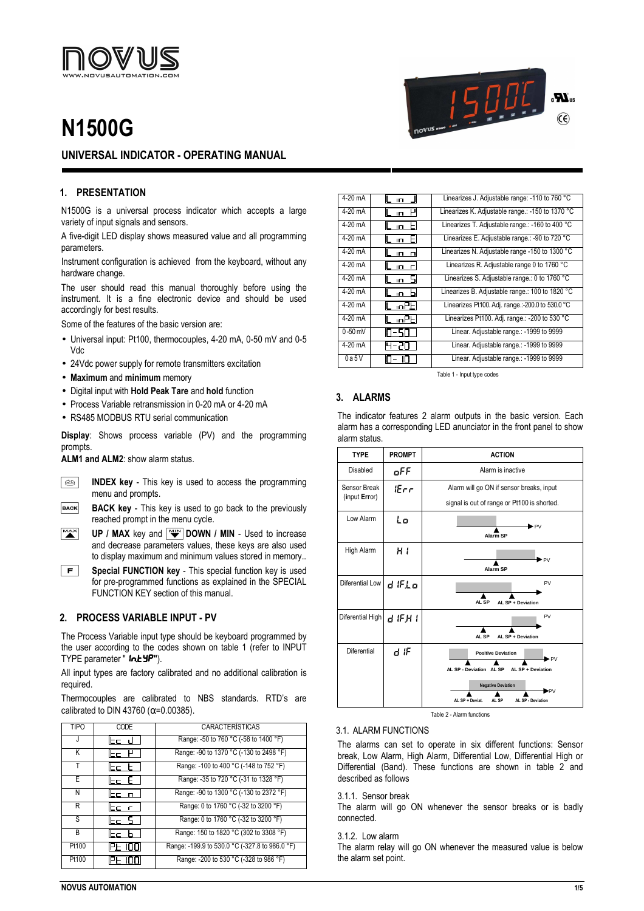

# **N1500G**



## **1. PRESENTATION**

N1500G is a universal process indicator which accepts a large variety of input signals and sensors.

A five-digit LED display shows measured value and all programming parameters.

Instrument configuration is achieved from the keyboard, without any hardware change.

The user should read this manual thoroughly before using the instrument. It is a fine electronic device and should be used accordingly for best results.

Some of the features of the basic version are:

- Universal input: Pt100, thermocouples, 4-20 mA, 0-50 mV and 0-5 Vdc
- 24Vdc power supply for remote transmitters excitation
- **Maximum** and **minimum** memory
- Digital input with **Hold Peak Tare** and **hold** function
- Process Variable retransmission in 0-20 mA or 4-20 mA
- RS485 MODBUS RTU serial communication

**Display**: Shows process variable (PV) and the programming prompts.

**ALM1 and ALM2**: show alarm status.

- $\boxed{2}$ **INDEX key** - This key is used to access the programming menu and prompts.
- **BACK BACK key** - This key is used to go back to the previously reached prompt in the menu cycle.
- $M^{\rm{ax}}$ **UP / MAX** key and  $\sqrt{w}$  **DOWN / MIN** - Used to increase and decrease parameters values, these keys are also used to display maximum and minimum values stored in memory..
- $|F|$ **Special FUNCTION key** - This special function key is used for pre-programmed functions as explained in the SPECIAL FUNCTION KEY section of this manual.

## **2. PROCESS VARIABLE INPUT - PV**

The Process Variable input type should be keyboard programmed by the user according to the codes shown on table 1 (refer to INPUT TYPE parameter " **in.t YP"**).

All input types are factory calibrated and no additional calibration is required.

Thermocouples are calibrated to NBS standards. RTD's are calibrated to DIN 43760 ( $\alpha$ =0.00385).

| <b>TIPO</b> | CODE   | <b>CARACTERÍSTICAS</b>                         |
|-------------|--------|------------------------------------------------|
| $\cdot$     | lbe J  | Range: -50 to 760 °C (-58 to 1400 °F)          |
| Κ           | lbo M  | Range: -90 to 1370 °C (-130 to 2498 °F)        |
| Т           | lbc b  | Range: -100 to 400 °C (-148 to 752 °F)         |
| E           | lbo Bi | Range: -35 to 720 °C (-31 to 1328 °F)          |
| N           | ltc n  | Range: -90 to 1300 °C (-130 to 2372 °F)        |
| R           | lbo r  | Range: 0 to 1760 °C (-32 to 3200 °F)           |
| S           | lbc 5  | Range: 0 to 1760 °C (-32 to 3200 °F)           |
| B           | lbo b  | Range: 150 to 1820 °C (302 to 3308 °F)         |
| Pt100       | iPE.   | Range: -199.9 to 530.0 °C (-327.8 to 986.0 °F) |
| Pt100       |        | Range: -200 to 530 °C (-328 to 986 °F)         |

| 4-20 mA   | ID.                        | Linearizes J. Adjustable range: -110 to 760 °C   |
|-----------|----------------------------|--------------------------------------------------|
| 4-20 mA   | $\overline{1}$             | Linearizes K. Adjustable range.: -150 to 1370 °C |
| 4-20 mA   | $\overline{1}$             | Linearizes T. Adjustable range.: -160 to 400 °C  |
| 4-20 mA   | ⊢<br>$\overline{1}$        | Linearizes E. Adjustable range.: -90 to 720 °C   |
| 4-20 mA   | $\overline{1}$<br>$\Box$   | Linearizes N. Adjustable range -150 to 1300 °C   |
| 4-20 mA   | $\overline{1}$<br>$\Gamma$ | Linearizes R. Adjustable range 0 to 1760 °C      |
| 4-20 mA   | SI<br>In.                  | Linearizes S. Adjustable range.: 0 to 1760 °C    |
| 4-20 mA   | h<br>$\Box$                | Linearizes B. Adjustable range.: 100 to 1820 °C  |
| 4-20 mA   | L inPEI                    | Linearizes Pt100. Adj. range.:-200.0 to 530.0 °C |
| 4-20 mA   | L inPEI                    | Linearizes Pt100. Adj. range.: -200 to 530 °C    |
| $0-50$ mV | -50                        | Linear. Adjustable range.: -1999 to 9999         |
| 4-20 mA   | ا الہ –                    | Linear. Adjustable range.: -1999 to 9999         |
| 0a5V      |                            | Linear. Adjustable range.: -1999 to 9999         |

15000

 $R_{\rm H}$ 

 $\widehat{\mathsf{c}\mathsf{e}}$ 

Table 1 - Input type codes

# **3. ALARMS**

The indicator features 2 alarm outputs in the basic version. Each alarm has a corresponding LED anunciator in the front panel to show alarm status.

| <b>TYPE</b>                   | <b>PROMPT</b> | <b>ACTION</b>                                                                                                                                                         |
|-------------------------------|---------------|-----------------------------------------------------------------------------------------------------------------------------------------------------------------------|
| Disabled                      | oFF           | Alarm is inactive                                                                                                                                                     |
| Sensor Break<br>(input Error) | $_{ifcr}$     | Alarm will go ON if sensor breaks, input<br>signal is out of range or Pt100 is shorted.                                                                               |
| Low Alarm                     | Lo            | $\blacktriangleright$ PV<br>Alarm SP                                                                                                                                  |
| High Alarm                    | нı            | $\blacktriangleright$ PV<br><b>Alarm SP</b>                                                                                                                           |
| Diferential Low               | d IFL o       | PV<br>AL SP<br>AL SP + Deviation                                                                                                                                      |
| Diferential High              | d IF.H I      | PV<br>AL SP<br>AL SP + Deviation                                                                                                                                      |
| <b>Diferential</b>            | d IF          | <b>Positive Deviation</b><br>▶PV<br>AL SP - Deviation AL SP<br>AL SP + Deviation<br><b>Negative Deviation</b><br>▶PV<br>AL SP + Deviat.<br>AL SP - Deviation<br>AL SP |

Table 2 - Alarm functions

#### 3.1. ALARM FUNCTIONS

The alarms can set to operate in six different functions: Sensor break, Low Alarm, High Alarm, Differential Low, Differential High or Differential (Band). These functions are shown in table 2 and described as follows

## 3.1.1. Sensor break

The alarm will go ON whenever the sensor breaks or is badly connected.

3.1.2. Low alarm

The alarm relay will go ON whenever the measured value is below the alarm set point.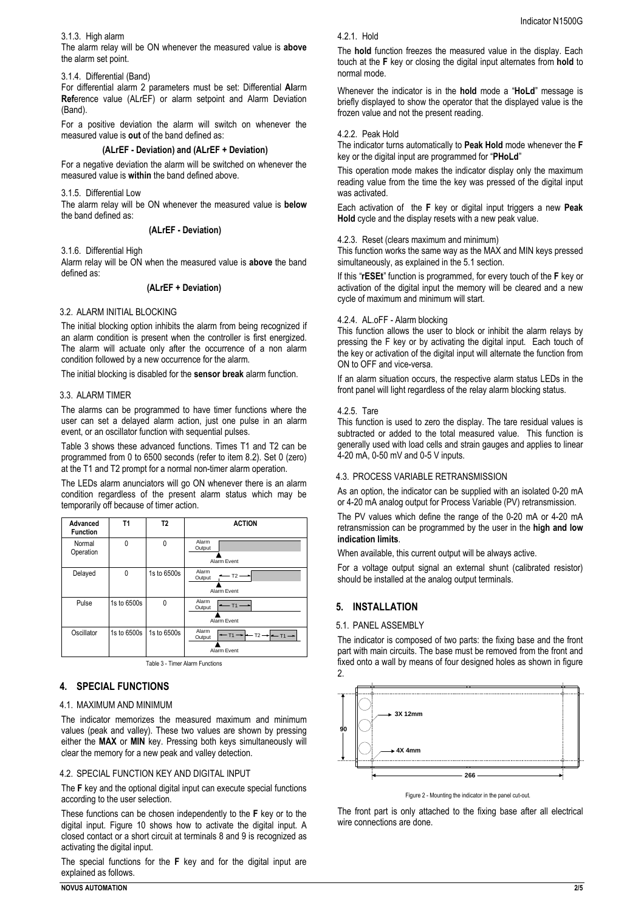## 3.1.3. High alarm

The alarm relay will be ON whenever the measured value is **above** the alarm set point.

## 3.1.4. Differential (Band)

For differential alarm 2 parameters must be set: Differential **Al**arm **Ref**erence value (ALrEF) or alarm setpoint and Alarm Deviation (Band).

For a positive deviation the alarm will switch on whenever the measured value is **out** of the band defined as:

#### **(ALrEF - Deviation) and (ALrEF + Deviation)**

For a negative deviation the alarm will be switched on whenever the measured value is **within** the band defined above.

3.1.5. Differential Low

The alarm relay will be ON whenever the measured value is **below** the band defined as:

## **(ALrEF - Deviation)**

3.1.6. Differential High

Alarm relay will be ON when the measured value is **above** the band defined as:

## **(ALrEF + Deviation)**

## 3.2. ALARM INITIAL BLOCKING

The initial blocking option inhibits the alarm from being recognized if an alarm condition is present when the controller is first energized. The alarm will actuate only after the occurrence of a non alarm condition followed by a new occurrence for the alarm.

The initial blocking is disabled for the **sensor break** alarm function.

## 3.3. ALARM TIMER

The alarms can be programmed to have timer functions where the user can set a delayed alarm action, just one pulse in an alarm event, or an oscillator function with sequential pulses.

Table 3 shows these advanced functions. Times T1 and T2 can be programmed from 0 to 6500 seconds (refer to item 8.2). Set 0 (zero) at the T1 and T2 prompt for a normal non-timer alarm operation.

The LEDs alarm anunciators will go ON whenever there is an alarm condition regardless of the present alarm status which may be temporarily off because of timer action.

| Advanced<br><b>Function</b> | Τ1          | T2          | <b>ACTION</b>                                                                     |
|-----------------------------|-------------|-------------|-----------------------------------------------------------------------------------|
| Normal<br>Operation         | 0           | 0           | Alarm<br>Output<br>Alarm Event                                                    |
| Delayed                     | 0           | 1s to 6500s | Alarm<br>$-$ T2 $-$<br>Output<br>Alarm Event                                      |
| Pulse                       | 1s to 6500s | 0           | Alarm<br>$-11-$<br>Output<br>Alarm Event                                          |
| Oscillator                  | 1s to 6500s | 1s to 6500s | Alarm<br>$T2 \rightarrow$<br>$-11 \rightarrow$<br>$-11-$<br>Output<br>Alarm Event |

Table 3 - Timer Alarm Functions

## **4. SPECIAL FUNCTIONS**

## 4.1. MAXIMUM AND MINIMUM

The indicator memorizes the measured maximum and minimum values (peak and valley). These two values are shown by pressing either the **MAX** or **MIN** key. Pressing both keys simultaneously will clear the memory for a new peak and valley detection.

## 4.2. SPECIAL FUNCTION KEY AND DIGITAL INPUT

The **F** key and the optional digital input can execute special functions according to the user selection.

These functions can be chosen independently to the **F** key or to the digital input. Figure 10 shows how to activate the digital input. A closed contact or a short circuit at terminals 8 and 9 is recognized as activating the digital input.

The special functions for the **F** key and for the digital input are explained as follows.

## 4.2.1. Hold

The **hold** function freezes the measured value in the display. Each touch at the **F** key or closing the digital input alternates from **hold** to normal mode.

Whenever the indicator is in the **hold** mode a "**HoLd**" message is briefly displayed to show the operator that the displayed value is the frozen value and not the present reading.

## 4.2.2. Peak Hold

The indicator turns automatically to **Peak Hold** mode whenever the **F** key or the digital input are programmed for "**PHoLd**"

This operation mode makes the indicator display only the maximum reading value from the time the key was pressed of the digital input was activated.

Each activation of the **F** key or digital input triggers a new **Peak Hold** cycle and the display resets with a new peak value.

#### 4.2.3. Reset (clears maximum and minimum)

This function works the same way as the MAX and MIN keys pressed simultaneously, as explained in the 5.1 section.

If this "**rESEt**" function is programmed, for every touch of the **F** key or activation of the digital input the memory will be cleared and a new cycle of maximum and minimum will start.

#### 4.2.4. AL.oFF - Alarm blocking

This function allows the user to block or inhibit the alarm relays by pressing the F key or by activating the digital input. Each touch of the key or activation of the digital input will alternate the function from ON to OFF and vice-versa.

If an alarm situation occurs, the respective alarm status LEDs in the front panel will light regardless of the relay alarm blocking status.

## 4.2.5. Tare

This function is used to zero the display. The tare residual values is subtracted or added to the total measured value. This function is generally used with load cells and strain gauges and applies to linear 4-20 mA, 0-50 mV and 0-5 V inputs.

## 4.3. PROCESS VARIABLE RETRANSMISSION

As an option, the indicator can be supplied with an isolated 0-20 mA or 4-20 mA analog output for Process Variable (PV) retransmission.

The PV values which define the range of the 0-20 mA or 4-20 mA retransmission can be programmed by the user in the **high and low indication limits**.

When available, this current output will be always active.

For a voltage output signal an external shunt (calibrated resistor) should be installed at the analog output terminals.

## **5. INSTALLATION**

## 5.1. PANEL ASSEMBLY

The indicator is composed of two parts: the fixing base and the front part with main circuits. The base must be removed from the front and fixed onto a wall by means of four designed holes as shown in figure 2.



Figure 2 - Mounting the indicator in the panel cut-out.

The front part is only attached to the fixing base after all electrical wire connections are done.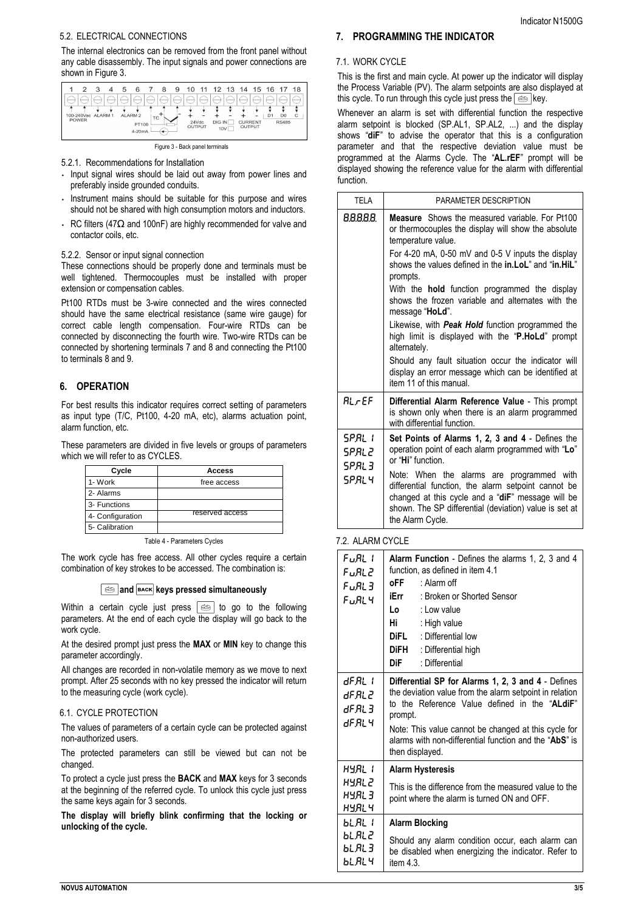## 5.2. ELECTRICAL CONNECTIONS

The internal electronics can be removed from the front panel without any cable disassembly. The input signals and power connections are shown in Figure 3.



Figure 3 - Back panel terminals

5.2.1. Recommendations for Installation

- Input signal wires should be laid out away from power lines and preferably inside grounded conduits.
- Instrument mains should be suitable for this purpose and wires should not be shared with high consumption motors and inductors.
- RC filters (47 $\Omega$  and 100nF) are highly recommended for valve and contactor coils, etc.

## 5.2.2. Sensor or input signal connection

These connections should be properly done and terminals must be well tightened. Thermocouples must be installed with proper extension or compensation cables.

Pt100 RTDs must be 3-wire connected and the wires connected should have the same electrical resistance (same wire gauge) for correct cable length compensation. Four-wire RTDs can be connected by disconnecting the fourth wire. Two-wire RTDs can be connected by shortening terminals 7 and 8 and connecting the Pt100 to terminals 8 and 9.

# **6. OPERATION**

For best results this indicator requires correct setting of parameters as input type (T/C, Pt100, 4-20 mA, etc), alarms actuation point, alarm function, etc.

These parameters are divided in five levels or groups of parameters which we will refer to as CYCLES.

| Cycle            | <b>Access</b>   |
|------------------|-----------------|
| 1- Work          | free access     |
| 2- Alarms        |                 |
| 3- Functions     |                 |
| 4- Configuration | reserved access |
| 5- Calibration   |                 |

Table 4 - Parameters Cycles

The work cycle has free access. All other cycles require a certain combination of key strokes to be accessed. The combination is:

# **and BACK keys pressed simultaneously**

Within a certain cycle just press  $\lceil \text{e} \text{e} \rceil$  to go to the following parameters. At the end of each cycle the display will go back to the work cycle.

At the desired prompt just press the **MAX** or **MIN** key to change this parameter accordingly.

All changes are recorded in non-volatile memory as we move to next prompt. After 25 seconds with no key pressed the indicator will return to the measuring cycle (work cycle).

# 6.1. CYCLE PROTECTION

The values of parameters of a certain cycle can be protected against non-authorized users.

The protected parameters can still be viewed but can not be changed.

To protect a cycle just press the **BACK** and **MAX** keys for 3 seconds at the beginning of the referred cycle. To unlock this cycle just press the same keys again for 3 seconds.

**The display will briefly blink confirming that the locking or unlocking of the cycle.** 

## **7. PROGRAMMING THE INDICATOR**

## 7.1. WORK CYCLE

This is the first and main cycle. At power up the indicator will display the Process Variable (PV). The alarm setpoints are also displayed at this cycle. To run through this cycle just press the  $\circledcirc$  key.

Whenever an alarm is set with differential function the respective alarm setpoint is blocked (SP.AL1, SP.AL2, ...) and the display shows "**diF**" to advise the operator that this is a configuration parameter and that the respective deviation value must be programmed at the Alarms Cycle. The "**AL.rEF**" prompt will be displayed showing the reference value for the alarm with differential function.

| <b>TELA</b>                         | PARAMETER DESCRIPTION                                                                                                                                                                                                                                                                                                                                                                                                                                                                                                                                                                                                                                                        |
|-------------------------------------|------------------------------------------------------------------------------------------------------------------------------------------------------------------------------------------------------------------------------------------------------------------------------------------------------------------------------------------------------------------------------------------------------------------------------------------------------------------------------------------------------------------------------------------------------------------------------------------------------------------------------------------------------------------------------|
| 88888.                              | <b>Measure</b> Shows the measured variable. For Pt100<br>or thermocouples the display will show the absolute<br>temperature value.<br>For 4-20 mA, 0-50 mV and 0-5 V inputs the display<br>shows the values defined in the in.LoL" and "in.HiL"<br>prompts.<br>With the <b>hold</b> function programmed the display<br>shows the frozen variable and alternates with the<br>message "HoLd".<br>Likewise, with <b>Peak Hold</b> function programmed the<br>high limit is displayed with the " <b>P.HoLd</b> " prompt<br>alternately.<br>Should any fault situation occur the indicator will<br>display an error message which can be identified at<br>item 11 of this manual. |
| RI FEE                              | Differential Alarm Reference Value - This prompt<br>is shown only when there is an alarm programmed<br>with differential function.                                                                                                                                                                                                                                                                                                                                                                                                                                                                                                                                           |
| 5PRI 1<br>SPRL2<br>5PRI 3<br>5PRI 4 | Set Points of Alarms 1, 2, 3 and 4 - Defines the<br>operation point of each alarm programmed with "Lo"<br>or "Hi" function.<br>Note: When the alarms are programmed with<br>differential function, the alarm setpoint cannot be<br>changed at this cycle and a "diF" message will be<br>shown. The SP differential (deviation) value is set at<br>the Alarm Cycle.                                                                                                                                                                                                                                                                                                           |

## 7.2. ALARM CYCLE

| FuRL I<br>ԲաԶԱ2<br>FuRL 3.<br>F…RI Y      | Alarm Function - Defines the alarms 1, 2, 3 and 4<br>function, as defined in item 4.1<br>$o$ FF : Alarm off<br><b>iErr</b> : Broken or Shorted Sensor<br>Lo<br>: Low value<br>Hi<br>: High value<br>DiFL : Differential low<br><b>DiFH</b> : Differential high<br>: Differential<br>DiF                        |  |
|-------------------------------------------|----------------------------------------------------------------------------------------------------------------------------------------------------------------------------------------------------------------------------------------------------------------------------------------------------------------|--|
| dF.RL I<br>dF.RL 2<br>dF.RL 3.<br>dF.RL 4 | Differential SP for Alarms 1, 2, 3 and 4 - Defines<br>the deviation value from the alarm setpoint in relation<br>to the Reference Value defined in the "ALdiF"<br>prompt.<br>Note: This value cannot be changed at this cycle for<br>alarms with non-differential function and the "AbS" is<br>then displayed. |  |
| HYRL I                                    | <b>Alarm Hysteresis</b>                                                                                                                                                                                                                                                                                        |  |
| HYAL 2<br>HYAL 3<br>HYAL 4                | This is the difference from the measured value to the<br>point where the alarm is turned ON and OFF.                                                                                                                                                                                                           |  |
| ы. я. . <i>.</i>                          | <b>Alarm Blocking</b>                                                                                                                                                                                                                                                                                          |  |
| եւ AL 2<br><u>ы яі 3-</u><br>ыя∟ч         | Should any alarm condition occur, each alarm can<br>be disabled when energizing the indicator. Refer to<br>item $4.3$ .                                                                                                                                                                                        |  |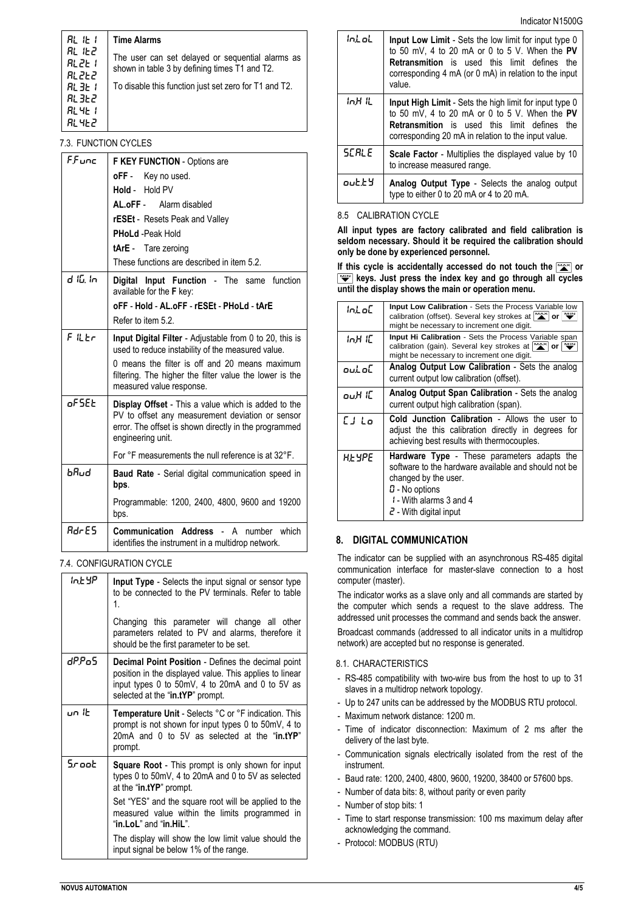| RL IE I                      | <b>Time Alarms</b>                                                                                |
|------------------------------|---------------------------------------------------------------------------------------------------|
| RL IEZ<br>81 PE 1<br>81 ZE Z | The user can set delayed or sequential alarms as<br>shown in table 3 by defining times T1 and T2. |
| 81. 31. T                    | To disable this function just set zero for T1 and T2.                                             |
| 81. 31. 2                    |                                                                                                   |
| RL 4E 1                      |                                                                                                   |
| 81. 41. 2                    |                                                                                                   |

## 7.3. FUNCTION CYCLES

| FFunc        | <b>F KEY FUNCTION</b> - Options are                                                                                                                                                   |  |
|--------------|---------------------------------------------------------------------------------------------------------------------------------------------------------------------------------------|--|
|              | oFF - Key no used.                                                                                                                                                                    |  |
|              | Hold - Hold PV                                                                                                                                                                        |  |
|              | AL.oFF - Alarm disabled                                                                                                                                                               |  |
|              | rESEt - Resets Peak and Valley                                                                                                                                                        |  |
|              | <b>PHoLd</b> - Peak Hold                                                                                                                                                              |  |
|              | tArE - Tare zeroing                                                                                                                                                                   |  |
|              | These functions are described in item 5.2.                                                                                                                                            |  |
| 4 IG Io      | Digital Input Function - The same function<br>available for the F key:                                                                                                                |  |
|              | oFF - Hold - AL.oFF - rESEt - PHoLd - tArE                                                                                                                                            |  |
|              | Refer to item 5.2.                                                                                                                                                                    |  |
| $F$ ii Fr    | Input Digital Filter - Adjustable from 0 to 20, this is<br>used to reduce instability of the measured value.                                                                          |  |
|              | 0 means the filter is off and 20 means maximum<br>filtering. The higher the filter value the lower is the<br>measured value response.                                                 |  |
| oFSEE        | Display Offset - This a value which is added to the<br>PV to offset any measurement deviation or sensor<br>error. The offset is shown directly in the programmed<br>engineering unit. |  |
|              | For °F measurements the null reference is at 32°F.                                                                                                                                    |  |
| ხციყ         | Baud Rate - Serial digital communication speed in<br>bps.                                                                                                                             |  |
|              | Programmable: 1200, 2400, 4800, 9600 and 19200<br>bps.                                                                                                                                |  |
| <b>BdcF5</b> | <b>Communication Address</b><br>number which<br>А<br>identifies the instrument in a multidrop network.                                                                                |  |

## 7.4. CONFIGURATION CYCLE

| int 4P | <b>Input Type</b> - Selects the input signal or sensor type<br>to be connected to the PV terminals. Refer to table<br>$\mathbf{1}$                                                                          |
|--------|-------------------------------------------------------------------------------------------------------------------------------------------------------------------------------------------------------------|
|        | Changing this parameter will change all other<br>parameters related to PV and alarms, therefore it<br>should be the first parameter to be set.                                                              |
| dP.PoS | <b>Decimal Point Position</b> - Defines the decimal point<br>position in the displayed value. This applies to linear<br>input types 0 to 50mV, 4 to 20mA and 0 to 5V as<br>selected at the "in.tYP" prompt. |
| un Ib  | <b>Temperature Unit</b> - Selects °C or °F indication. This<br>prompt is not shown for input types 0 to 50mV, 4 to<br>20mA and 0 to 5V as selected at the "in.tYP"<br>prompt.                               |
| Sroot  | <b>Square Root</b> - This prompt is only shown for input<br>types 0 to 50mV, 4 to 20mA and 0 to 5V as selected<br>at the "in.tYP" prompt.                                                                   |
|        | Set "YES" and the square root will be applied to the<br>measured value within the limits programmed in<br>"in.LoL" and "in.HiL".                                                                            |
|        | The display will show the low limit value should the<br>input signal be below 1% of the range.                                                                                                              |

| ini ni  | Input Low Limit - Sets the low limit for input type 0<br>to 50 mV, 4 to 20 mA or 0 to 5 V. When the PV<br><b>Retransmition</b> is used this limit defines the<br>corresponding 4 mA (or 0 mA) in relation to the input<br>value. |
|---------|----------------------------------------------------------------------------------------------------------------------------------------------------------------------------------------------------------------------------------|
| in H ii | <b>Input High Limit</b> - Sets the high limit for input type 0<br>to 50 mV, 4 to 20 mA or 0 to 5 V. When the PV<br><b>Retransmition</b> is used this limit defines the<br>corresponding 20 mA in relation to the input value.    |
| SE BLE  | <b>Scale Factor</b> - Multiplies the displayed value by 10<br>to increase measured range.                                                                                                                                        |
| outty   | <b>Analog Output Type</b> - Selects the analog output<br>type to either 0 to 20 mA or 4 to 20 mA.                                                                                                                                |

Indicator N1500G

## 8.5 CALIBRATION CYCLE

**All input types are factory calibrated and field calibration is seldom necessary. Should it be required the calibration should only be done by experienced personnel.** 

If this cycle is accidentally accessed do not touch the  $\frac{N+1}{N}$  or **keys. Just press the index key and go through all cycles until the display shows the main or operation menu.**

| ini oE    | <b>Input Low Calibration - Sets the Process Variable low</b><br>calibration (offset). Several key strokes at $\sum_{n=1}^{\infty}$ or $\sum_{n=1}^{\infty}$<br>might be necessary to increment one digit.                     |
|-----------|-------------------------------------------------------------------------------------------------------------------------------------------------------------------------------------------------------------------------------|
| inH iE    | <b>Input Hi Calibration</b> - Sets the Process Variable span<br>calibration (gain). Several key strokes at $\left \frac{M\Delta}{N}\right $ or $\left \frac{M\Delta}{N}\right $<br>might be necessary to increment one digit. |
| out of .  | Analog Output Low Calibration - Sets the analog<br>current output low calibration (offset).                                                                                                                                   |
| ouH IE    | Analog Output Span Calibration - Sets the analog<br>current output high calibration (span).                                                                                                                                   |
| $[$   $]$ | Cold Junction Calibration - Allows the user to<br>adjust the this calibration directly in degrees for<br>achieving best results with thermocouples.                                                                           |
| нь чре    | Hardware Type - These parameters adapts the<br>software to the hardware available and should not be<br>changed by the user.<br>$\Omega$ - No options<br>I - With alarms 3 and 4<br>$\epsilon$ - With digital input            |

# **8. DIGITAL COMMUNICATION**

The indicator can be supplied with an asynchronous RS-485 digital communication interface for master-slave connection to a host computer (master).

The indicator works as a slave only and all commands are started by the computer which sends a request to the slave address. The addressed unit processes the command and sends back the answer.

Broadcast commands (addressed to all indicator units in a multidrop network) are accepted but no response is generated.

## 8.1. CHARACTERISTICS

- RS-485 compatibility with two-wire bus from the host to up to 31 slaves in a multidrop network topology.
- Up to 247 units can be addressed by the MODBUS RTU protocol.
- Maximum network distance: 1200 m.
- Time of indicator disconnection: Maximum of 2 ms after the delivery of the last byte.
- Communication signals electrically isolated from the rest of the instrument.
- Baud rate: 1200, 2400, 4800, 9600, 19200, 38400 or 57600 bps.
- Number of data bits: 8, without parity or even parity
- Number of stop bits: 1
- Time to start response transmission: 100 ms maximum delay after acknowledging the command.
- Protocol: MODBUS (RTU)